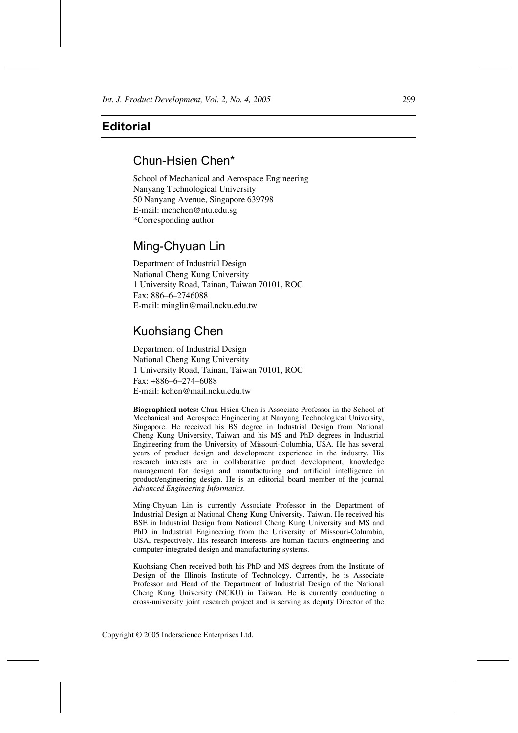## **Editorial**

## Chun-Hsien Chen\*

School of Mechanical and Aerospace Engineering Nanyang Technological University 50 Nanyang Avenue, Singapore 639798 E-mail: mchchen@ntu.edu.sg \*Corresponding author

## Ming-Chyuan Lin

Department of Industrial Design National Cheng Kung University 1 University Road, Tainan, Taiwan 70101, ROC Fax: 886–6–2746088 E-mail: minglin@mail.ncku.edu.tw

# Kuohsiang Chen

Department of Industrial Design National Cheng Kung University 1 University Road, Tainan, Taiwan 70101, ROC Fax: +886–6–274–6088 E-mail: kchen@mail.ncku.edu.tw

**Biographical notes:** Chun-Hsien Chen is Associate Professor in the School of Mechanical and Aerospace Engineering at Nanyang Technological University, Singapore. He received his BS degree in Industrial Design from National Cheng Kung University, Taiwan and his MS and PhD degrees in Industrial Engineering from the University of Missouri-Columbia, USA. He has several years of product design and development experience in the industry. His research interests are in collaborative product development, knowledge management for design and manufacturing and artificial intelligence in product/engineering design. He is an editorial board member of the journal *Advanced Engineering Informatics*.

Ming-Chyuan Lin is currently Associate Professor in the Department of Industrial Design at National Cheng Kung University, Taiwan. He received his BSE in Industrial Design from National Cheng Kung University and MS and PhD in Industrial Engineering from the University of Missouri-Columbia, USA, respectively. His research interests are human factors engineering and computer-integrated design and manufacturing systems.

Kuohsiang Chen received both his PhD and MS degrees from the Institute of Design of the Illinois Institute of Technology. Currently, he is Associate Professor and Head of the Department of Industrial Design of the National Cheng Kung University (NCKU) in Taiwan. He is currently conducting a cross-university joint research project and is serving as deputy Director of the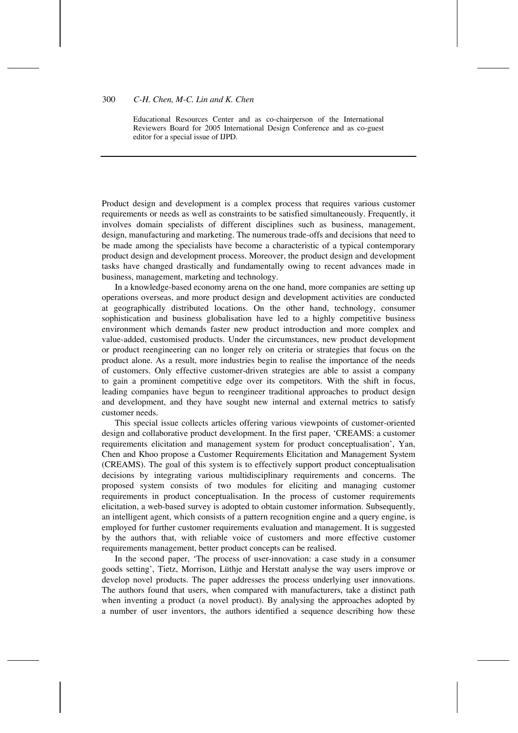#### 300 *C-H. Chen, M-C. Lin and K. Chen*

Educational Resources Center and as co-chairperson of the International Reviewers Board for 2005 International Design Conference and as co-guest editor for a special issue of IJPD.

Product design and development is a complex process that requires various customer requirements or needs as well as constraints to be satisfied simultaneously. Frequently, it involves domain specialists of different disciplines such as business, management, design, manufacturing and marketing. The numerous trade-offs and decisions that need to be made among the specialists have become a characteristic of a typical contemporary product design and development process. Moreover, the product design and development tasks have changed drastically and fundamentally owing to recent advances made in business, management, marketing and technology.

In a knowledge-based economy arena on the one hand, more companies are setting up operations overseas, and more product design and development activities are conducted at geographically distributed locations. On the other hand, technology, consumer sophistication and business globalisation have led to a highly competitive business environment which demands faster new product introduction and more complex and value-added, customised products. Under the circumstances, new product development or product reengineering can no longer rely on criteria or strategies that focus on the product alone. As a result, more industries begin to realise the importance of the needs of customers. Only effective customer-driven strategies are able to assist a company to gain a prominent competitive edge over its competitors. With the shift in focus, leading companies have begun to reengineer traditional approaches to product design and development, and they have sought new internal and external metrics to satisfy customer needs.

This special issue collects articles offering various viewpoints of customer-oriented design and collaborative product development. In the first paper, 'CREAMS: a customer requirements elicitation and management system for product conceptualisation', Yan, Chen and Khoo propose a Customer Requirements Elicitation and Management System (CREAMS). The goal of this system is to effectively support product conceptualisation decisions by integrating various multidisciplinary requirements and concerns. The proposed system consists of two modules for eliciting and managing customer requirements in product conceptualisation. In the process of customer requirements elicitation, a web-based survey is adopted to obtain customer information. Subsequently, an intelligent agent, which consists of a pattern recognition engine and a query engine, is employed for further customer requirements evaluation and management. It is suggested by the authors that, with reliable voice of customers and more effective customer requirements management, better product concepts can be realised.

In the second paper, 'The process of user-innovation: a case study in a consumer goods setting', Tietz, Morrison, Lüthje and Herstatt analyse the way users improve or develop novel products. The paper addresses the process underlying user innovations. The authors found that users, when compared with manufacturers, take a distinct path when inventing a product (a novel product). By analysing the approaches adopted by a number of user inventors, the authors identified a sequence describing how these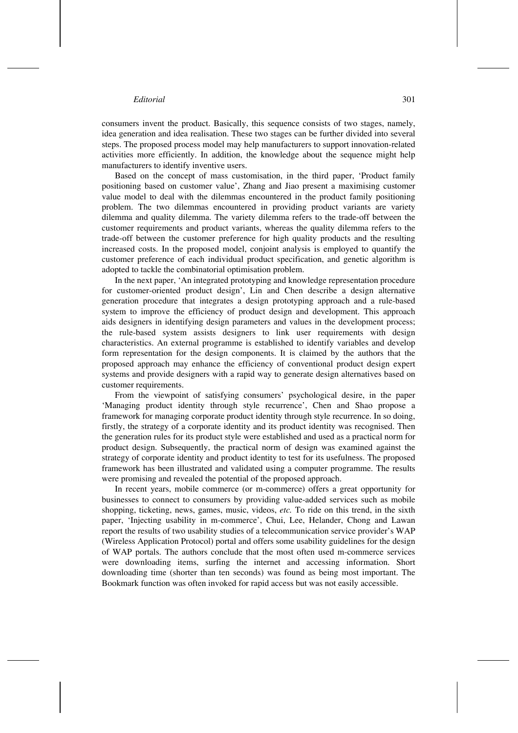### *Editorial* 301

consumers invent the product. Basically, this sequence consists of two stages, namely, idea generation and idea realisation. These two stages can be further divided into several steps. The proposed process model may help manufacturers to support innovation-related activities more efficiently. In addition, the knowledge about the sequence might help manufacturers to identify inventive users.

Based on the concept of mass customisation, in the third paper, 'Product family positioning based on customer value', Zhang and Jiao present a maximising customer value model to deal with the dilemmas encountered in the product family positioning problem. The two dilemmas encountered in providing product variants are variety dilemma and quality dilemma. The variety dilemma refers to the trade-off between the customer requirements and product variants, whereas the quality dilemma refers to the trade-off between the customer preference for high quality products and the resulting increased costs. In the proposed model, conjoint analysis is employed to quantify the customer preference of each individual product specification, and genetic algorithm is adopted to tackle the combinatorial optimisation problem.

In the next paper, 'An integrated prototyping and knowledge representation procedure for customer-oriented product design', Lin and Chen describe a design alternative generation procedure that integrates a design prototyping approach and a rule-based system to improve the efficiency of product design and development. This approach aids designers in identifying design parameters and values in the development process; the rule-based system assists designers to link user requirements with design characteristics. An external programme is established to identify variables and develop form representation for the design components. It is claimed by the authors that the proposed approach may enhance the efficiency of conventional product design expert systems and provide designers with a rapid way to generate design alternatives based on customer requirements.

From the viewpoint of satisfying consumers' psychological desire, in the paper 'Managing product identity through style recurrence', Chen and Shao propose a framework for managing corporate product identity through style recurrence. In so doing, firstly, the strategy of a corporate identity and its product identity was recognised. Then the generation rules for its product style were established and used as a practical norm for product design. Subsequently, the practical norm of design was examined against the strategy of corporate identity and product identity to test for its usefulness. The proposed framework has been illustrated and validated using a computer programme. The results were promising and revealed the potential of the proposed approach.

In recent years, mobile commerce (or m-commerce) offers a great opportunity for businesses to connect to consumers by providing value-added services such as mobile shopping, ticketing, news, games, music, videos, *etc.* To ride on this trend, in the sixth paper, 'Injecting usability in m-commerce', Chui, Lee, Helander, Chong and Lawan report the results of two usability studies of a telecommunication service provider's WAP (Wireless Application Protocol) portal and offers some usability guidelines for the design of WAP portals. The authors conclude that the most often used m-commerce services were downloading items, surfing the internet and accessing information. Short downloading time (shorter than ten seconds) was found as being most important. The Bookmark function was often invoked for rapid access but was not easily accessible.